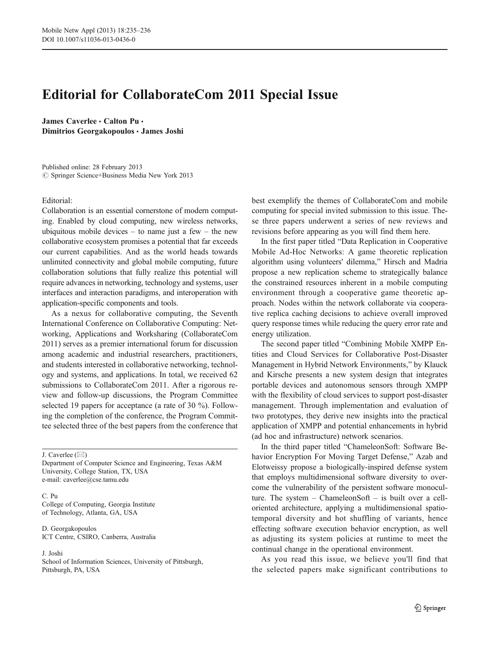## Editorial for CollaborateCom 2011 Special Issue

James Caverlee . Calton Pu . Dimitrios Georgakopoulos · James Joshi

Published online: 28 February 2013  $\circledcirc$  Springer Science+Business Media New York 2013

## Editorial:

Collaboration is an essential cornerstone of modern computing. Enabled by cloud computing, new wireless networks, ubiquitous mobile devices  $-$  to name just a few  $-$  the new collaborative ecosystem promises a potential that far exceeds our current capabilities. And as the world heads towards unlimited connectivity and global mobile computing, future collaboration solutions that fully realize this potential will require advances in networking, technology and systems, user interfaces and interaction paradigms, and interoperation with application-specific components and tools.

As a nexus for collaborative computing, the Seventh International Conference on Collaborative Computing: Networking, Applications and Worksharing (CollaborateCom 2011) serves as a premier international forum for discussion among academic and industrial researchers, practitioners, and students interested in collaborative networking, technology and systems, and applications. In total, we received 62 submissions to CollaborateCom 2011. After a rigorous review and follow-up discussions, the Program Committee selected 19 papers for acceptance (a rate of 30 %). Following the completion of the conference, the Program Committee selected three of the best papers from the conference that

J. Caverlee  $(\boxtimes)$ 

Department of Computer Science and Engineering, Texas A&M University, College Station, TX, USA e-mail: caverlee@cse.tamu.edu

C. Pu College of Computing, Georgia Institute of Technology, Atlanta, GA, USA

D. Georgakopoulos ICT Centre, CSIRO, Canberra, Australia

## J. Joshi

School of Information Sciences, University of Pittsburgh, Pittsburgh, PA, USA

best exemplify the themes of CollaborateCom and mobile computing for special invited submission to this issue. These three papers underwent a series of new reviews and revisions before appearing as you will find them here.

In the first paper titled "Data Replication in Cooperative Mobile Ad-Hoc Networks: A game theoretic replication algorithm using volunteers' dilemma," Hirsch and Madria propose a new replication scheme to strategically balance the constrained resources inherent in a mobile computing environment through a cooperative game theoretic approach. Nodes within the network collaborate via cooperative replica caching decisions to achieve overall improved query response times while reducing the query error rate and energy utilization.

The second paper titled "Combining Mobile XMPP Entities and Cloud Services for Collaborative Post-Disaster Management in Hybrid Network Environments," by Klauck and Kirsche presents a new system design that integrates portable devices and autonomous sensors through XMPP with the flexibility of cloud services to support post-disaster management. Through implementation and evaluation of two prototypes, they derive new insights into the practical application of XMPP and potential enhancements in hybrid (ad hoc and infrastructure) network scenarios.

In the third paper titled "ChameleonSoft: Software Behavior Encryption For Moving Target Defense," Azab and Elotweissy propose a biologically-inspired defense system that employs multidimensional software diversity to overcome the vulnerability of the persistent software monoculture. The system – ChameleonSoft – is built over a celloriented architecture, applying a multidimensional spatiotemporal diversity and hot shuffling of variants, hence effecting software execution behavior encryption, as well as adjusting its system policies at runtime to meet the continual change in the operational environment.

As you read this issue, we believe you'll find that the selected papers make significant contributions to